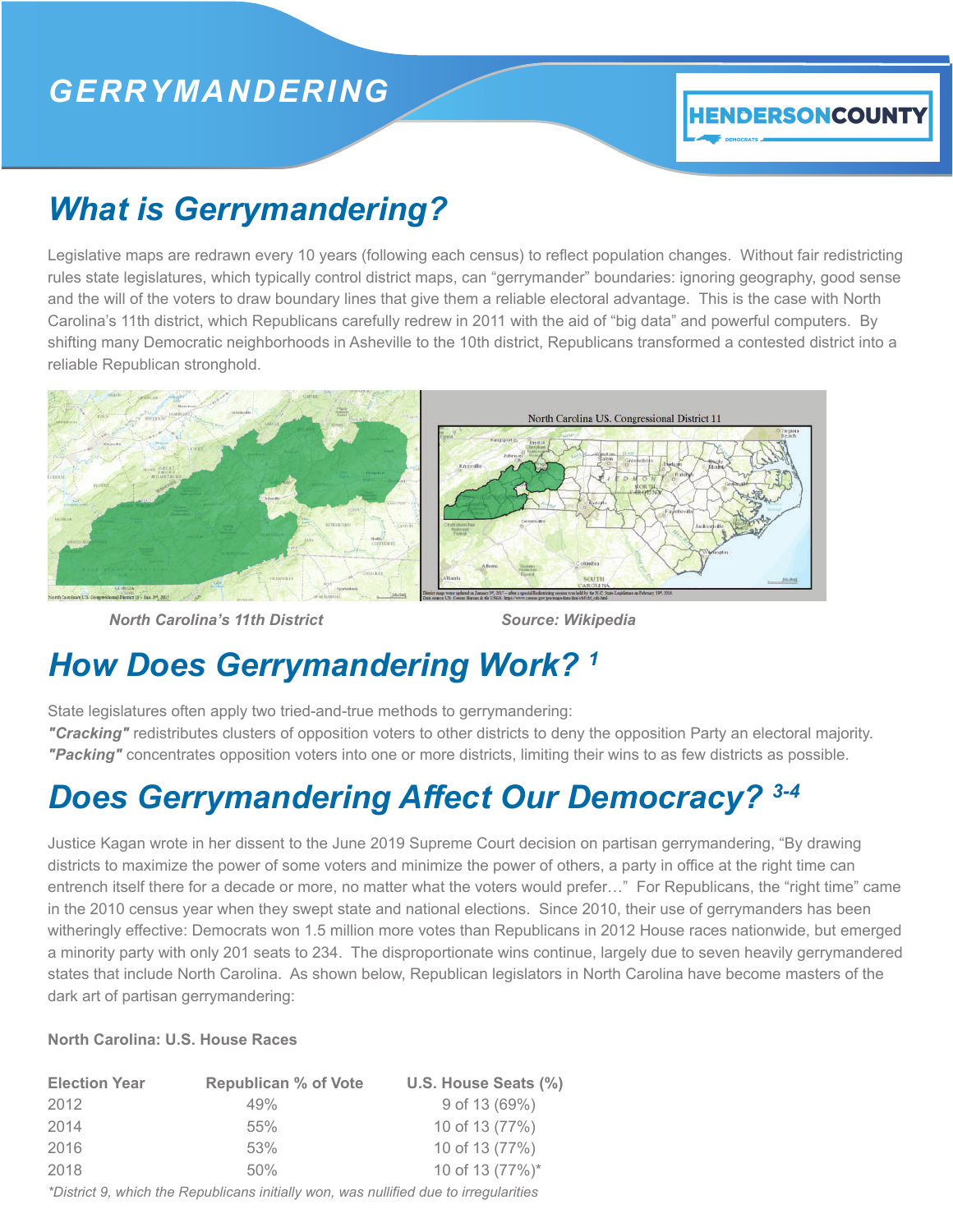### *GERRYMANDERING*

#### **HENDERSONCOUNTY**

## *What is Gerrymandering?*

Legislative maps are redrawn every 10 years (following each census) to reflect population changes. Without fair redistricting rules state legislatures, which typically control district maps, can "gerrymander" boundaries: ignoring geography, good sense and the will of the voters to draw boundary lines that give them a reliable electoral advantage. This is the case with North Carolina's 11th district, which Republicans carefully redrew in 2011 with the aid of "big data" and powerful computers. By shifting many Democratic neighborhoods in Asheville to the 10th district, Republicans transformed a contested district into a reliable Republican stronghold.



**North Carolina's 11th District Charles Controllery Controllery Source: Wikipedia** 

## *How Does Gerrymandering Work? 1*

State legislatures often apply two tried-and-true methods to gerrymandering:

*"Cracking"* redistributes clusters of opposition voters to other districts to deny the opposition Party an electoral majority. *"Packing"* concentrates opposition voters into one or more districts, limiting their wins to as few districts as possible.

# *Does Gerrymandering Affect Our Democracy? 3-4*

Justice Kagan wrote in her dissent to the June 2019 Supreme Court decision on partisan gerrymandering, "By drawing districts to maximize the power of some voters and minimize the power of others, a party in office at the right time can entrench itself there for a decade or more, no matter what the voters would prefer…" For Republicans, the "right time" came in the 2010 census year when they swept state and national elections. Since 2010, their use of gerrymanders has been witheringly effective: Democrats won 1.5 million more votes than Republicans in 2012 House races nationwide, but emerged a minority party with only 201 seats to 234. The disproportionate wins continue, largely due to seven heavily gerrymandered states that include North Carolina. As shown below, Republican legislators in North Carolina have become masters of the dark art of partisan gerrymandering:

#### **North Carolina: U.S. House Races**

| <b>Election Year</b> | <b>Republican % of Vote</b> | U.S. House Seats (%) |
|----------------------|-----------------------------|----------------------|
| 2012                 | 49%                         | 9 of 13 (69%)        |
| 2014                 | 55%                         | 10 of 13 (77%)       |
| 2016                 | 53%                         | 10 of 13 (77%)       |
| 2018                 | 50%                         | 10 of 13 (77%)*      |
|                      |                             |                      |

*\*District 9, which the Republicans initially won, was nullified due to irregularities*